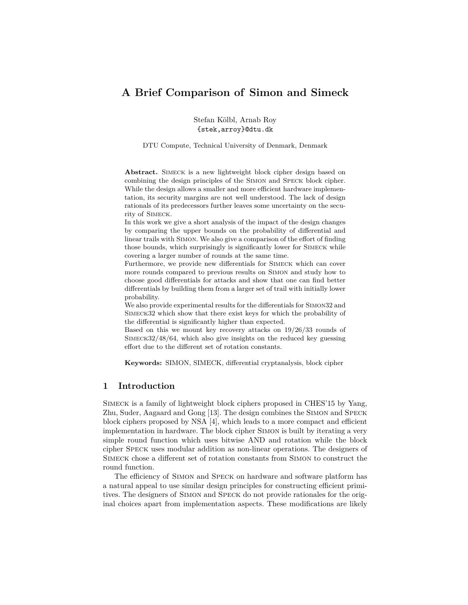# **A Brief Comparison of Simon and Simeck**

Stefan Kölbl, Arnab Roy {stek,arroy}@dtu.dk

DTU Compute, Technical University of Denmark, Denmark

Abstract. SIMECK is a new lightweight block cipher design based on combining the design principles of the Simon and Speck block cipher. While the design allows a smaller and more efficient hardware implementation, its security margins are not well understood. The lack of design rationals of its predecessors further leaves some uncertainty on the security of Simeck.

In this work we give a short analysis of the impact of the design changes by comparing the upper bounds on the probability of differential and linear trails with Simon. We also give a comparison of the effort of finding those bounds, which surprisingly is significantly lower for Simeck while covering a larger number of rounds at the same time.

Furthermore, we provide new differentials for Simeck which can cover more rounds compared to previous results on Simon and study how to choose good differentials for attacks and show that one can find better differentials by building them from a larger set of trail with initially lower probability.

We also provide experimental results for the differentials for Simon32 and Simeck32 which show that there exist keys for which the probability of the differential is significantly higher than expected.

Based on this we mount key recovery attacks on 19/26/33 rounds of Simeck32/48/64, which also give insights on the reduced key guessing effort due to the different set of rotation constants.

**Keywords:** SIMON, SIMECK, differential cryptanalysis, block cipher

# **1 Introduction**

Simeck is a family of lightweight block ciphers proposed in CHES'15 by Yang, Zhu, Suder, Aagaard and Gong [13]. The design combines the Simon and Speck block ciphers proposed by NSA [4], which leads to a more compact and efficient implementation in hardware. The block cipher Simon is built by iterating a very simple round function which uses bitwise AND and rotation while the block cipher Speck uses modular addition as non-linear operations. The designers of Simeck chose a different set of rotation constants from Simon to construct the round function.

The efficiency of Simon and Speck on hardware and software platform has a natural appeal to use similar design principles for constructing efficient primitives. The designers of Simon and Speck do not provide rationales for the original choices apart from implementation aspects. These modifications are likely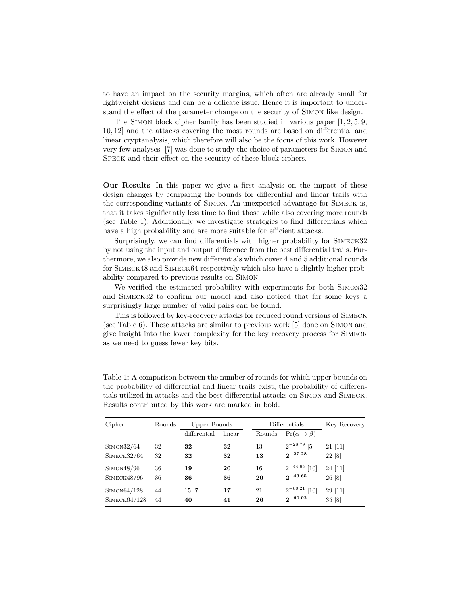to have an impact on the security margins, which often are already small for lightweight designs and can be a delicate issue. Hence it is important to understand the effect of the parameter change on the security of Simon like design.

The Simon block cipher family has been studied in various paper [1, 2, 5, 9, 10, 12] and the attacks covering the most rounds are based on differential and linear cryptanalysis, which therefore will also be the focus of this work. However very few analyses [7] was done to study the choice of parameters for Simon and Speck and their effect on the security of these block ciphers.

**Our Results** In this paper we give a first analysis on the impact of these design changes by comparing the bounds for differential and linear trails with the corresponding variants of Simon. An unexpected advantage for Simeck is, that it takes significantly less time to find those while also covering more rounds (see Table 1). Additionally we investigate strategies to find differentials which have a high probability and are more suitable for efficient attacks.

Surprisingly, we can find differentials with higher probability for Simeck32 by not using the input and output difference from the best differential trails. Furthermore, we also provide new differentials which cover 4 and 5 additional rounds for Simeck48 and Simeck64 respectively which also have a slightly higher probability compared to previous results on Simon.

We verified the estimated probability with experiments for both Simon32 and Simeck32 to confirm our model and also noticed that for some keys a surprisingly large number of valid pairs can be found.

This is followed by key-recovery attacks for reduced round versions of Simeck (see Table 6). These attacks are similar to previous work [5] done on Simon and give insight into the lower complexity for the key recovery process for Simeck as we need to guess fewer key bits.

| Table 1: A comparison between the number of rounds for which upper bounds on          |
|---------------------------------------------------------------------------------------|
| the probability of differential and linear trails exist, the probability of differen- |
| tials utilized in attacks and the best differential attacks on SIMON and SIMECK.      |
| Results contributed by this work are marked in bold.                                  |

| Cipher       | Rounds | Upper Bounds |        |        | Differentials                  | Key Recovery |  |
|--------------|--------|--------------|--------|--------|--------------------------------|--------------|--|
|              |        | differential | linear | Rounds | $Pr(\alpha \rightarrow \beta)$ |              |  |
| SIMON32/64   | 32     | 32           | 32     | 13     | $2^{-28.79}$ [5]               | 21[11]       |  |
| SIMECK32/64  | 32     | 32           | 32     | 13     | $2^{-27.28}$                   | 22 [8]       |  |
| SIMON48/96   | 36     | 19           | 20     | 16     | $2^{-44.65}$<br>[10]           | 24[11]       |  |
| SIMECK48/96  | 36     | 36           | 36     | 20     | $2^{-43.65}$                   | 26 [8]       |  |
| SIMON64/128  | 44     | 15 [7]       | 17     | 21     | $2^{-60.21}$<br>[10]           | 29[11]       |  |
| SIMECK64/128 | 44     | 40           | 41     | 26     | $2^{-60.02}$                   | 35 [8]       |  |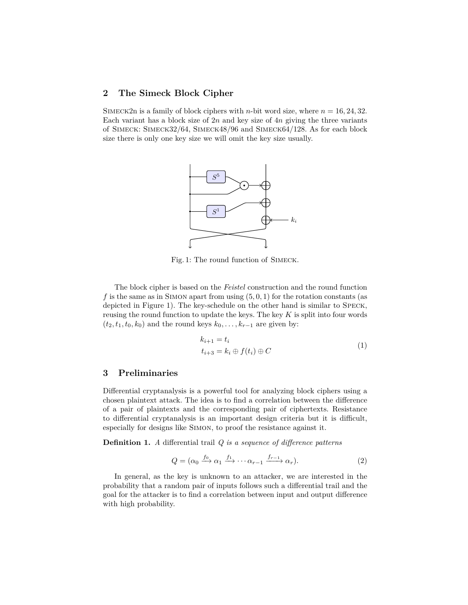# **2 The Simeck Block Cipher**

SIMECK2n is a family of block ciphers with *n*-bit word size, where  $n = 16, 24, 32$ . Each variant has a block size of 2*n* and key size of 4*n* giving the three variants of Simeck: Simeck32/64, Simeck48/96 and Simeck64/128. As for each block size there is only one key size we will omit the key size usually.



Fig. 1: The round function of Simeck.

The block cipher is based on the *Feistel* construction and the round function  $f$  is the same as in SIMON apart from using  $(5, 0, 1)$  for the rotation constants (as depicted in Figure 1). The key-schedule on the other hand is similar to Speck, reusing the round function to update the keys. The key *K* is split into four words  $(t_2, t_1, t_0, k_0)$  and the round keys  $k_0, \ldots, k_{r-1}$  are given by:

$$
k_{i+1} = t_i
$$
  
\n
$$
t_{i+3} = k_i \oplus f(t_i) \oplus C
$$
\n(1)

### **3 Preliminaries**

Differential cryptanalysis is a powerful tool for analyzing block ciphers using a chosen plaintext attack. The idea is to find a correlation between the difference of a pair of plaintexts and the corresponding pair of ciphertexts. Resistance to differential cryptanalysis is an important design criteria but it is difficult, especially for designs like Simon, to proof the resistance against it.

**Definition 1.** *A* differential trail *Q is a sequence of difference patterns*

$$
Q = (\alpha_0 \xrightarrow{f_0} \alpha_1 \xrightarrow{f_1} \cdots \alpha_{r-1} \xrightarrow{f_{r-1}} \alpha_r). \tag{2}
$$

In general, as the key is unknown to an attacker, we are interested in the probability that a random pair of inputs follows such a differential trail and the goal for the attacker is to find a correlation between input and output difference with high probability.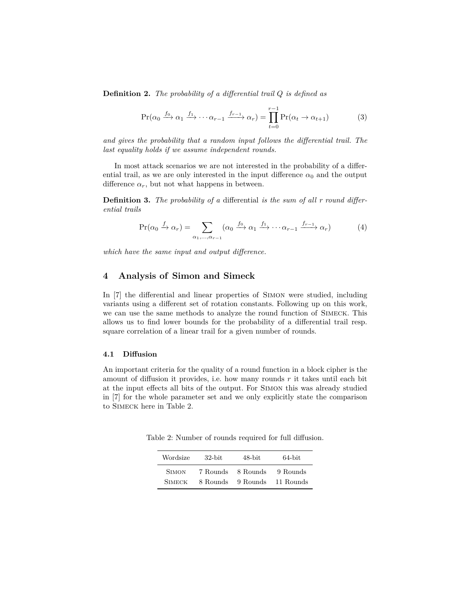**Definition 2.** *The probability of a differential trail Q is defined as*

$$
\Pr(\alpha_0 \xrightarrow{f_0} \alpha_1 \xrightarrow{f_1} \cdots \alpha_{r-1} \xrightarrow{f_{r-1}} \alpha_r) = \prod_{t=0}^{r-1} \Pr(\alpha_t \to \alpha_{t+1})
$$
(3)

*and gives the probability that a random input follows the differential trail. The last equality holds if we assume independent rounds.*

In most attack scenarios we are not interested in the probability of a differential trail, as we are only interested in the input difference  $\alpha_0$  and the output difference  $\alpha_r$ , but not what happens in between.

**Definition 3.** *The probability of a* differential *is the sum of all r round differential trails*

$$
\Pr(\alpha_0 \xrightarrow{f} \alpha_r) = \sum_{\alpha_1, \dots, \alpha_{r-1}} (\alpha_0 \xrightarrow{f_0} \alpha_1 \xrightarrow{f_1} \dots \alpha_{r-1} \xrightarrow{f_{r-1}} \alpha_r)
$$
(4)

*which have the same input and output difference.*

### **4 Analysis of Simon and Simeck**

In [7] the differential and linear properties of Simon were studied, including variants using a different set of rotation constants. Following up on this work, we can use the same methods to analyze the round function of Simeck. This allows us to find lower bounds for the probability of a differential trail resp. square correlation of a linear trail for a given number of rounds.

#### **4.1 Diffusion**

An important criteria for the quality of a round function in a block cipher is the amount of diffusion it provides, i.e. how many rounds *r* it takes until each bit at the input effects all bits of the output. For Simon this was already studied in [7] for the whole parameter set and we only explicitly state the comparison to Simeck here in Table 2.

Table 2: Number of rounds required for full diffusion.

| Wordsize      | $32$ -bit | 48-bit   | 64-bit    |
|---------------|-----------|----------|-----------|
| <b>SIMON</b>  | 7 Rounds  | 8 Rounds | 9 Rounds  |
| <b>SIMECK</b> | 8 Rounds  | 9 Rounds | 11 Rounds |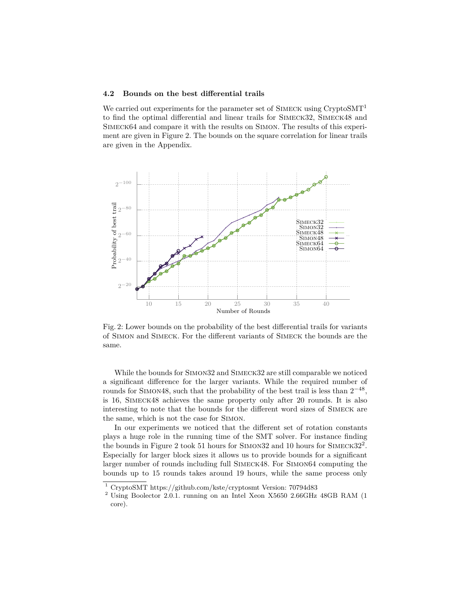#### **4.2 Bounds on the best differential trails**

We carried out experiments for the parameter set of  $\text{SIMECK}$  using  $\text{CryptoSMT}^1$ to find the optimal differential and linear trails for Simeck32, Simeck48 and Simeck64 and compare it with the results on Simon. The results of this experiment are given in Figure 2. The bounds on the square correlation for linear trails are given in the Appendix.



Fig. 2: Lower bounds on the probability of the best differential trails for variants of Simon and Simeck. For the different variants of Simeck the bounds are the same.

While the bounds for Simon32 and Simeck32 are still comparable we noticed a significant difference for the larger variants. While the required number of rounds for SIMON48, such that the probability of the best trail is less than  $2^{-48}$ , is 16, Simeck48 achieves the same property only after 20 rounds. It is also interesting to note that the bounds for the different word sizes of Simeck are the same, which is not the case for Simon.

In our experiments we noticed that the different set of rotation constants plays a huge role in the running time of the SMT solver. For instance finding the bounds in Figure 2 took 51 hours for SIMON32 and 10 hours for SIMECK32<sup>2</sup>. Especially for larger block sizes it allows us to provide bounds for a significant larger number of rounds including full Simeck48. For Simon64 computing the bounds up to 15 rounds takes around 19 hours, while the same process only

<sup>1</sup> CryptoSMT https://github.com/kste/cryptosmt Version: 70794d83

 $^{2}$  Using Boolector 2.0.1. running on an Intel Xeon X5650 2.66GHz 48GB RAM (1 core).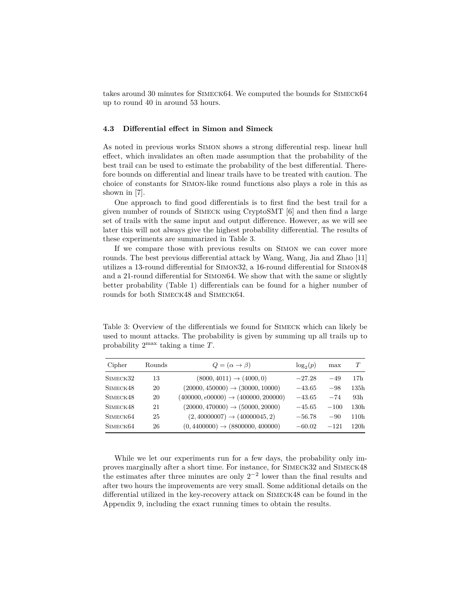takes around 30 minutes for Simeck64. We computed the bounds for Simeck64 up to round 40 in around 53 hours.

#### **4.3 Differential effect in Simon and Simeck**

As noted in previous works Simon shows a strong differential resp. linear hull effect, which invalidates an often made assumption that the probability of the best trail can be used to estimate the probability of the best differential. Therefore bounds on differential and linear trails have to be treated with caution. The choice of constants for Simon-like round functions also plays a role in this as shown in [7].

One approach to find good differentials is to first find the best trail for a given number of rounds of Simeck using CryptoSMT [6] and then find a large set of trails with the same input and output difference. However, as we will see later this will not always give the highest probability differential. The results of these experiments are summarized in Table 3.

If we compare those with previous results on Simon we can cover more rounds. The best previous differential attack by Wang, Wang, Jia and Zhao [11] utilizes a 13-round differential for Simon32, a 16-round differential for Simon48 and a 21-round differential for Simon64. We show that with the same or slightly better probability (Table 1) differentials can be found for a higher number of rounds for both Simeck48 and Simeck64.

Table 3: Overview of the differentials we found for Simeck which can likely be used to mount attacks. The probability is given by summing up all trails up to probability 2 max taking a time *T*.

| Cipher               | <b>Rounds</b> | $Q = (\alpha \rightarrow \beta)$                | $\log_2(p)$ | max    | T                |
|----------------------|---------------|-------------------------------------------------|-------------|--------|------------------|
| SIMECK32             | 13            | $(8000, 4011) \rightarrow (4000, 0)$            | $-27.28$    | $-49$  | 17h              |
| SIMECK48             | 20            | $(20000, 450000) \rightarrow (30000, 10000)$    | $-43.65$    | $-98$  | 135h             |
| SIMECK48             | 20            | $(400000, e00000) \rightarrow (400000, 200000)$ | $-43.65$    | $-74$  | 93h              |
| SIMECK48             | 21            | $(20000, 470000) \rightarrow (50000, 20000)$    | $-45.65$    | $-100$ | 130h             |
| SIMECK <sub>64</sub> | 25            | $(2,40000007) \rightarrow (40000045,2)$         | $-56.78$    | $-90$  | 110h             |
| SIMECK <sub>64</sub> | 26            | $(0, 4400000) \rightarrow (8800000, 400000)$    | $-60.02$    | $-121$ | 120 <sub>h</sub> |

While we let our experiments run for a few days, the probability only improves marginally after a short time. For instance, for Simeck32 and Simeck48 the estimates after three minutes are only  $2^{-2}$  lower than the final results and after two hours the improvements are very small. Some additional details on the differential utilized in the key-recovery attack on Simeck48 can be found in the Appendix 9, including the exact running times to obtain the results.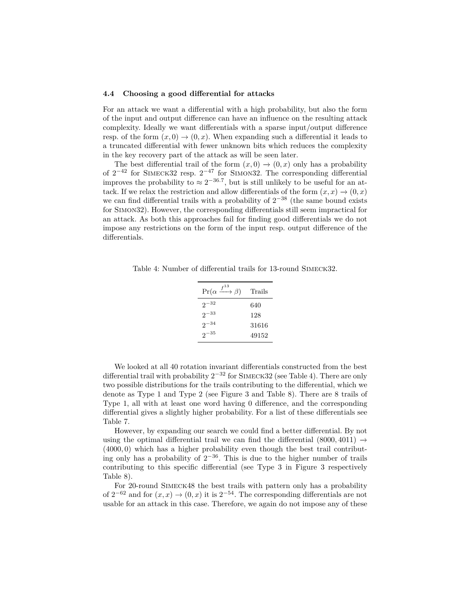#### **4.4 Choosing a good differential for attacks**

For an attack we want a differential with a high probability, but also the form of the input and output difference can have an influence on the resulting attack complexity. Ideally we want differentials with a sparse input/output difference resp. of the form  $(x, 0) \rightarrow (0, x)$ . When expanding such a differential it leads to a truncated differential with fewer unknown bits which reduces the complexity in the key recovery part of the attack as will be seen later.

The best differential trail of the form  $(x, 0) \rightarrow (0, x)$  only has a probability of  $2^{-42}$  for SIMECK32 resp.  $2^{-47}$  for SIMON32. The corresponding differential improves the probability to  $\approx 2^{-36.7}$ , but is still unlikely to be useful for an attack. If we relax the restriction and allow differentials of the form  $(x, x) \rightarrow (0, x)$ we can find differential trails with a probability of  $2^{-38}$  (the same bound exists for Simon32). However, the corresponding differentials still seem impractical for an attack. As both this approaches fail for finding good differentials we do not impose any restrictions on the form of the input resp. output difference of the differentials.

Table 4: Number of differential trails for 13-round Simeck32.

| $\Pr(\alpha \xrightarrow{f^{13}} \beta)$ | Trails |
|------------------------------------------|--------|
| $2^{-32}$                                | 640    |
| $2^{-33}$                                | 128    |
| $2^{-34}$                                | 31616  |
| $2^{-35}$                                | 49152  |

We looked at all 40 rotation invariant differentials constructed from the best differential trail with probability  $2^{-32}$  for SIMECK32 (see Table 4). There are only two possible distributions for the trails contributing to the differential, which we denote as Type 1 and Type 2 (see Figure 3 and Table 8). There are 8 trails of Type 1, all with at least one word having 0 difference, and the corresponding differential gives a slightly higher probability. For a list of these differentials see Table 7.

However, by expanding our search we could find a better differential. By not using the optimal differential trail we can find the differential  $(8000, 4011) \rightarrow$ (4000*,* 0) which has a higher probability even though the best trail contributing only has a probability of  $2^{-36}$ . This is due to the higher number of trails contributing to this specific differential (see Type 3 in Figure 3 respectively Table 8).

For 20-round Simeck48 the best trails with pattern only has a probability of  $2^{-62}$  and for  $(x, x) \rightarrow (0, x)$  it is  $2^{-54}$ . The corresponding differentials are not usable for an attack in this case. Therefore, we again do not impose any of these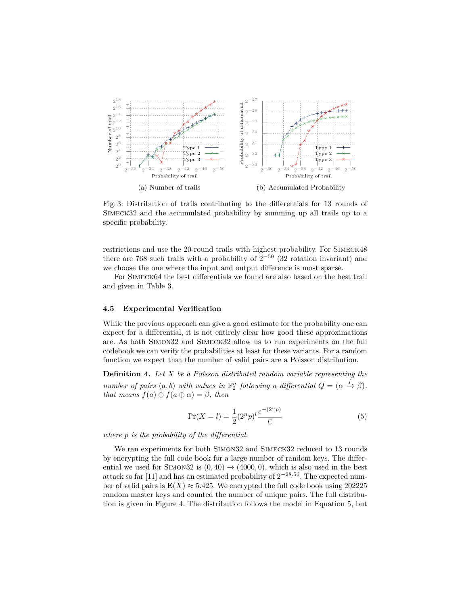

Fig. 3: Distribution of trails contributing to the differentials for 13 rounds of Simeck32 and the accumulated probability by summing up all trails up to a specific probability.

restrictions and use the 20-round trails with highest probability. For Simeck48 there are 768 such trails with a probability of  $2^{-50}$  (32 rotation invariant) and we choose the one where the input and output difference is most sparse.

For Simeck64 the best differentials we found are also based on the best trail and given in Table 3.

#### **4.5 Experimental Verification**

While the previous approach can give a good estimate for the probability one can expect for a differential, it is not entirely clear how good these approximations are. As both Simon32 and Simeck32 allow us to run experiments on the full codebook we can verify the probabilities at least for these variants. For a random function we expect that the number of valid pairs are a Poisson distribution.

**Definition 4.** *Let X be a Poisson distributed random variable representing the number of pairs*  $(a, b)$  *with values in*  $\mathbb{F}_2^n$  *following a differential*  $Q = (\alpha \overset{f}{\rightarrow} \beta)$ *, that means*  $f(a) \oplus f(a \oplus \alpha) = \beta$ *, then* 

$$
\Pr(X = l) = \frac{1}{2} (2^n p)^l \frac{e^{-(2^n p)}}{l!}
$$
\n(5)

*where p is the probability of the differential.*

We ran experiments for both SIMON32 and SIMECK32 reduced to 13 rounds by encrypting the full code book for a large number of random keys. The differential we used for SIMON32 is  $(0, 40) \rightarrow (4000, 0)$ , which is also used in the best attack so far [11] and has an estimated probability of 2 <sup>−</sup>28*.*<sup>56</sup>. The expected number of valid pairs is  $\mathbf{E}(X) \approx 5.425$ . We encrypted the full code book using 202225 random master keys and counted the number of unique pairs. The full distribution is given in Figure 4. The distribution follows the model in Equation 5, but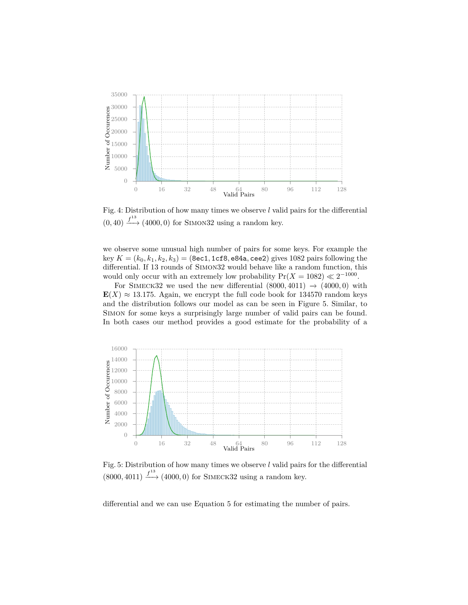

Fig. 4: Distribution of how many times we observe *l* valid pairs for the differential  $(0, 40) \xrightarrow{f^{13}} (4000, 0)$  for SIMON32 using a random key.

we observe some unusual high number of pairs for some keys. For example the key *K* = (*k*0*, k*1*, k*2*, k*3) = (8ec1*,* 1cf8*,* e84a*,* cee2) gives 1082 pairs following the differential. If 13 rounds of Simon32 would behave like a random function, this would only occur with an extremely low probability  $Pr(X = 1082) \ll 2^{-1000}$ .

For SIMECK32 we used the new differential  $(8000, 4011) \rightarrow (4000, 0)$  with  $E(X) \approx 13.175$ . Again, we encrypt the full code book for 134570 random keys and the distribution follows our model as can be seen in Figure 5. Similar, to Simon for some keys a surprisingly large number of valid pairs can be found. In both cases our method provides a good estimate for the probability of a



Fig. 5: Distribution of how many times we observe *l* valid pairs for the differential  $(8000, 4011) \xrightarrow{f^{13}} (4000, 0)$  for SIMECK32 using a random key.

differential and we can use Equation 5 for estimating the number of pairs.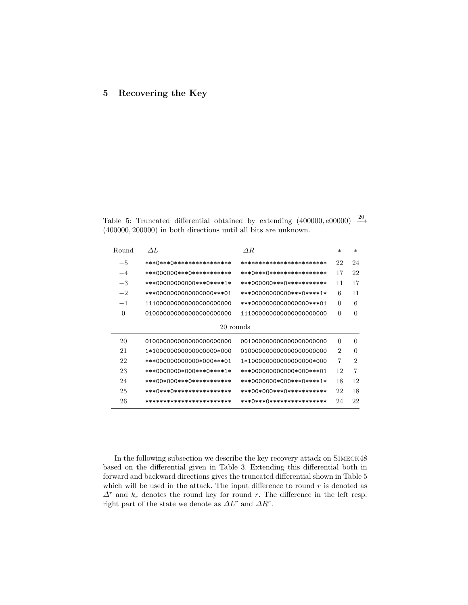# **5 Recovering the Key**

Table 5: Truncated differential obtained by extending  $(400000, e00000) \stackrel{20}{\rightarrow}$ (400000*,* 200000) in both directions until all bits are unknown.

| Round | $\Delta L$                  | $\varDelta R$               | $\ast$         | $\ast$         |
|-------|-----------------------------|-----------------------------|----------------|----------------|
| $-5$  | ***()***()****************  | ************************    | 22             | 24             |
| $-4$  | ***000000***0************   | ***()***()***************** | 17             | 22             |
| $-3$  | ***00000000000***0****1*    | ***000000***0************   | 11             | 17             |
| $-2$  | ***000000000000000***01     | ***00000000000***0****1*    | 6              | 11             |
| $-1$  | 111000000000000000000000    | ***000000000000000***01     | $\Omega$       | 6              |
| 0     | 010000000000000000000000    | 111000000000000000000000    | $\Omega$       | $\theta$       |
|       | 20 rounds                   |                             |                |                |
| 20    | 010000000000000000000000    | 001000000000000000000000    | $\Omega$       | $\theta$       |
| 21    | 1*100000000000000000*000    | 010000000000000000000000    | $\overline{2}$ | $\theta$       |
| 22    | ***000000000000*000***01    | 1*100000000000000000*000    | 7              | $\overline{2}$ |
| 23    | ***0000000*000***0****1*    | ***000000000000*000***01    | 12             | $\overline{7}$ |
| 24    | ***00*000***0************   | ***0000000*000***0****1*    | 18             | 12             |
| 25    | ***()***()***************** | ***00*000***0************   | 22             | 18             |
| 26    | ************************    | ***()***()****************  | 24             | 22             |

In the following subsection we describe the key recovery attack on Simeck48 based on the differential given in Table 3. Extending this differential both in forward and backward directions gives the truncated differential shown in Table 5 which will be used in the attack. The input difference to round  $r$  is denoted as *∆<sup>r</sup>* and *k<sup>r</sup>* denotes the round key for round *r*. The difference in the left resp. right part of the state we denote as  $\Delta L^r$  and  $\Delta R^r$ .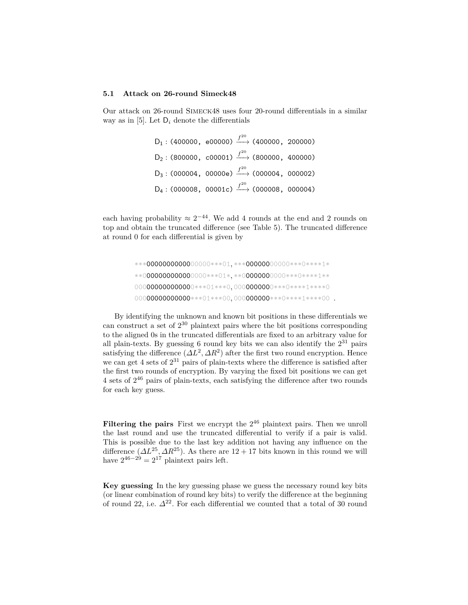#### **5.1 Attack on 26-round Simeck48**

Our attack on 26-round Simeck48 uses four 20-round differentials in a similar way as in [5]. Let D*<sup>i</sup>* denote the differentials

> $D_1: (400000, e00000) \xrightarrow{f^{20}} (400000, 200000)$  $D_2: (800000, c00001) \xrightarrow{f^{20}} (800000, 400000)$  $D_3: (000004, 00000e) \xrightarrow{f^{20}} (000004, 000002)$  $D_4: (000008, 00001c) \xrightarrow{f^{20}} (000008, 000004)$

each having probability  $\approx 2^{-44}$ . We add 4 rounds at the end and 2 rounds on top and obtain the truncated difference (see Table 5). The truncated difference at round 0 for each differential is given by

By identifying the unknown and known bit positions in these differentials we can construct a set of 2 <sup>30</sup> plaintext pairs where the bit positions corresponding to the aligned 0s in the truncated differentials are fixed to an arbitrary value for all plain-texts. By guessing 6 round key bits we can also identify the  $2^{31}$  pairs satisfying the difference  $(\Delta L^2, \Delta R^2)$  after the first two round encryption. Hence we can get 4 sets of  $2^{31}$  pairs of plain-texts where the difference is satisfied after the first two rounds of encryption. By varying the fixed bit positions we can get 4 sets of  $2^{46}$  pairs of plain-texts, each satisfying the difference after two rounds for each key guess.

Filtering the pairs First we encrypt the  $2^{46}$  plaintext pairs. Then we unroll the last round and use the truncated differential to verify if a pair is valid. This is possible due to the last key addition not having any influence on the difference (*∆L*<sup>25</sup>*, ∆R*<sup>25</sup>). As there are 12 + 17 bits known in this round we will have  $2^{46-29} = 2^{17}$  plaintext pairs left.

**Key guessing** In the key guessing phase we guess the necessary round key bits (or linear combination of round key bits) to verify the difference at the beginning of round 22, i.e.  $\Delta^{22}$ . For each differential we counted that a total of 30 round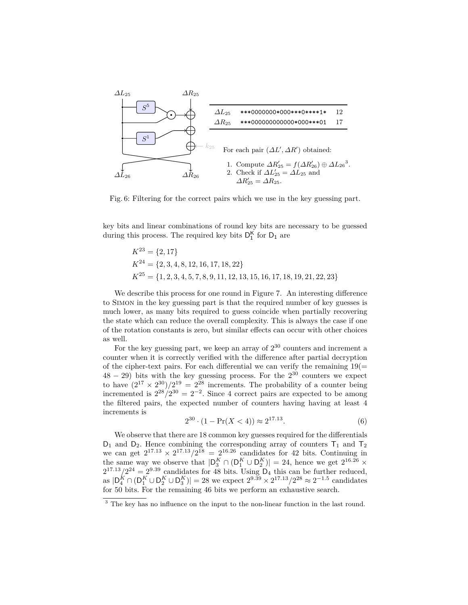

Fig. 6: Filtering for the correct pairs which we use in the key guessing part.

key bits and linear combinations of round key bits are necessary to be guessed during this process. The required key bits  $D_1^K$  for  $D_1$  are

$$
K^{23} = \{2, 17\}
$$
  
\n
$$
K^{24} = \{2, 3, 4, 8, 12, 16, 17, 18, 22\}
$$
  
\n
$$
K^{25} = \{1, 2, 3, 4, 5, 7, 8, 9, 11, 12, 13, 15, 16, 17, 18, 19, 21, 22, 23\}
$$

We describe this process for one round in Figure 7. An interesting difference to Simon in the key guessing part is that the required number of key guesses is much lower, as many bits required to guess coincide when partially recovering the state which can reduce the overall complexity. This is always the case if one of the rotation constants is zero, but similar effects can occur with other choices as well.

For the key guessing part, we keep an array of  $2^{30}$  counters and increment a counter when it is correctly verified with the difference after partial decryption of the cipher-text pairs. For each differential we can verify the remaining  $19(=$  $48 - 29$ ) bits with the key guessing process. For the  $2^{30}$  counters we expect to have  $(2^{17} \times 2^{30})/2^{19} = 2^{28}$  increments. The probability of a counter being incremented is  $2^{28}/2^{30} = 2^{-2}$ . Since 4 correct pairs are expected to be among the filtered pairs, the expected number of counters having having at least 4 increments is

$$
2^{30} \cdot (1 - \Pr(X < 4)) \approx 2^{17.13}.\tag{6}
$$

We observe that there are 18 common key guesses required for the differentials  $D_1$  and  $D_2$ . Hence combining the corresponding array of counters  $T_1$  and  $T_2$ we can get  $2^{17.13} \times 2^{17.13} / 2^{18} = 2^{16.26}$  candidates for 42 bits. Continuing in the same way we observe that  $|D_3^K \cap (D_1^K \cup D_2^K)| = 24$ , hence we get  $2^{16.26} \times$  $2^{17.13}/2^{24} = 2^{9.39}$  candidates for 48 bits. Using  $D_4$  this can be further reduced, as  $|D_4^K \cap (D_1^K \cup D_2^K \cup D_3^K)| = 28$  we expect  $2^{9.39} \times 2^{17.13} / 2^{28} \approx 2^{-1.5}$  candidates for 50 bits. For the remaining 46 bits we perform an exhaustive search.

<sup>&</sup>lt;sup>3</sup> The key has no influence on the input to the non-linear function in the last round.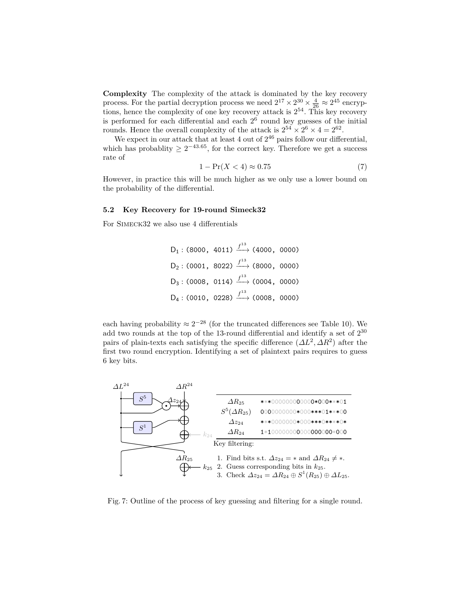**Complexity** The complexity of the attack is dominated by the key recovery process. For the partial decryption process we need  $2^{17} \times 2^{30} \times \frac{4}{26} \approx 2^{45}$  encryptions, hence the complexity of one key recovery attack is  $2^{54}$ . This key recovery is performed for each differential and each  $2<sup>6</sup>$  round key guesses of the initial rounds. Hence the overall complexity of the attack is  $2^{54} \times 2^6 \times 4 = 2^{62}$ .

We expect in our attack that at least 4 out of  $2^{46}$  pairs follow our differential, which has probablity  $\geq 2^{-43.65}$ , for the correct key. Therefore we get a success rate of

$$
1 - \Pr(X < 4) \approx 0.75\tag{7}
$$

However, in practice this will be much higher as we only use a lower bound on the probability of the differential.

### **5.2 Key Recovery for 19-round Simeck32**

For SIMECK32 we also use 4 differentials

 $D_1$ : (8000, 4011)  $\xrightarrow{f^{13}}$  (4000, 0000)  $D_2: (0001, 8022) \xrightarrow{f^{13}} (8000, 0000)$  $D_3: (0008, 0114) \xrightarrow{f^{13}} (0004, 0000)$  $D_4: (0010, 0228) \xrightarrow{f^{13}} (0008, 0000)$ 

each having probability  $\approx 2^{-28}$  (for the truncated differences see Table 10). We add two rounds at the top of the 13-round differential and identify a set of  $2^{30}$ pairs of plain-texts each satisfying the specific difference  $(\Delta L^2, \Delta R^2)$  after the first two round encryption. Identifying a set of plaintext pairs requires to guess 6 key bits.



Fig. 7: Outline of the process of key guessing and filtering for a single round.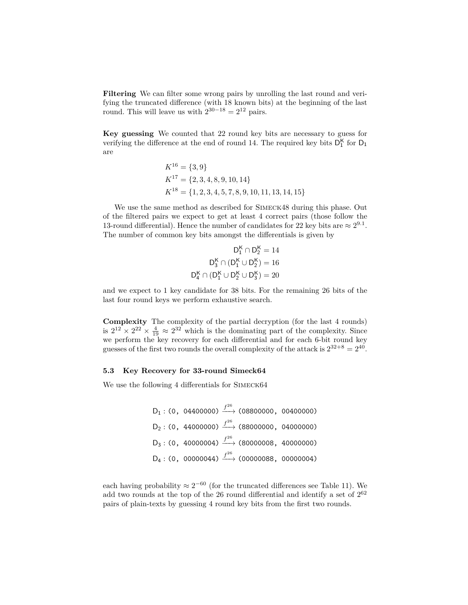**Filtering** We can filter some wrong pairs by unrolling the last round and verifying the truncated difference (with 18 known bits) at the beginning of the last round. This will leave us with  $2^{30-18} = 2^{12}$  pairs.

**Key guessing** We counted that 22 round key bits are necessary to guess for verifying the difference at the end of round 14. The required key bits  $D_1^{\mathsf{K}}$  for  $D_1$ are

$$
K^{16} = \{3, 9\}
$$
  
\n
$$
K^{17} = \{2, 3, 4, 8, 9, 10, 14\}
$$
  
\n
$$
K^{18} = \{1, 2, 3, 4, 5, 7, 8, 9, 10, 11, 13, 14, 15\}
$$

We use the same method as described for Simeck48 during this phase. Out of the filtered pairs we expect to get at least 4 correct pairs (those follow the 13-round differential). Hence the number of candidates for 22 key bits are  $\approx 2^{9.1}$ . The number of common key bits amongst the differentials is given by

$$
D_1^K \cap D_2^K = 14
$$
  

$$
D_3^K \cap (D_1^K \cup D_2^K) = 16
$$
  

$$
D_4^K \cap (D_1^K \cup D_2^K \cup D_3^K) = 20
$$

 $\ddot{\phantom{a}}$ 

and we expect to 1 key candidate for 38 bits. For the remaining 26 bits of the last four round keys we perform exhaustive search.

**Complexity** The complexity of the partial decryption (for the last 4 rounds) is  $2^{12} \times 2^{22} \times \frac{4}{19} \approx 2^{32}$  which is the dominating part of the complexity. Since we perform the key recovery for each differential and for each 6-bit round key guesses of the first two rounds the overall complexity of the attack is  $2^{32+8} = 2^{40}$ .

#### **5.3 Key Recovery for 33-round Simeck64**

We use the following 4 differentials for SIMECK64

$$
D_1: (0, 04400000) \xrightarrow{f^{26}} (08800000, 00400000)
$$
  
\n
$$
D_2: (0, 44000000) \xrightarrow{f^{26}} (88000000, 04000000)
$$
  
\n
$$
D_3: (0, 40000004) \xrightarrow{f^{26}} (80000008, 40000000)
$$
  
\n
$$
D_4: (0, 00000044) \xrightarrow{f^{26}} (00000088, 00000004)
$$

each having probability  $\approx 2^{-60}$  (for the truncated differences see Table 11). We add two rounds at the top of the 26 round differential and identify a set of  $2^{62}$ pairs of plain-texts by guessing 4 round key bits from the first two rounds.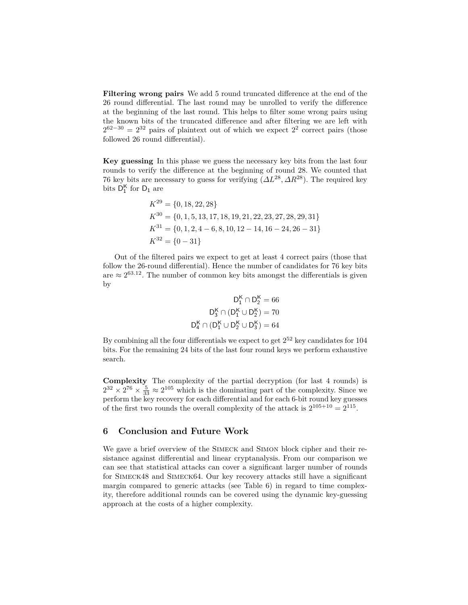**Filtering wrong pairs** We add 5 round truncated difference at the end of the 26 round differential. The last round may be unrolled to verify the difference at the beginning of the last round. This helps to filter some wrong pairs using the known bits of the truncated difference and after filtering we are left with  $2^{62-30} = 2^{32}$  pairs of plaintext out of which we expect  $2^2$  correct pairs (those followed 26 round differential).

**Key guessing** In this phase we guess the necessary key bits from the last four rounds to verify the difference at the beginning of round 28. We counted that 76 key bits are necessary to guess for verifying (*∆L*<sup>28</sup>*, ∆R*<sup>28</sup>). The required key bits  $D_1^K$  for  $D_1$  are

$$
K^{29} = \{0, 18, 22, 28\}
$$
  
\n
$$
K^{30} = \{0, 1, 5, 13, 17, 18, 19, 21, 22, 23, 27, 28, 29, 31\}
$$
  
\n
$$
K^{31} = \{0, 1, 2, 4 - 6, 8, 10, 12 - 14, 16 - 24, 26 - 31\}
$$
  
\n
$$
K^{32} = \{0 - 31\}
$$

Out of the filtered pairs we expect to get at least 4 correct pairs (those that follow the 26-round differential). Hence the number of candidates for 76 key bits are  $\approx 2^{63.12}$ . The number of common key bits amongst the differentials is given by

$$
D^K_1 \cap D^K_2 = 66
$$
  

$$
D^K_3 \cap (D^K_1 \cup D^K_2) = 70
$$
  

$$
D^K_4 \cap (D^K_1 \cup D^K_2 \cup D^K_3) = 64
$$

By combining all the four differentials we expect to get  $2^{52}$  key candidates for 104 bits. For the remaining 24 bits of the last four round keys we perform exhaustive search.

**Complexity** The complexity of the partial decryption (for last 4 rounds) is  $2^{32} \times 2^{76} \times \frac{5}{33} \approx 2^{105}$  which is the dominating part of the complexity. Since we perform the key recovery for each differential and for each 6-bit round key guesses of the first two rounds the overall complexity of the attack is  $2^{105+10} = 2^{115}$ .

### **6 Conclusion and Future Work**

We gave a brief overview of the SIMECK and SIMON block cipher and their resistance against differential and linear cryptanalysis. From our comparison we can see that statistical attacks can cover a significant larger number of rounds for Simeck48 and Simeck64. Our key recovery attacks still have a significant margin compared to generic attacks (see Table 6) in regard to time complexity, therefore additional rounds can be covered using the dynamic key-guessing approach at the costs of a higher complexity.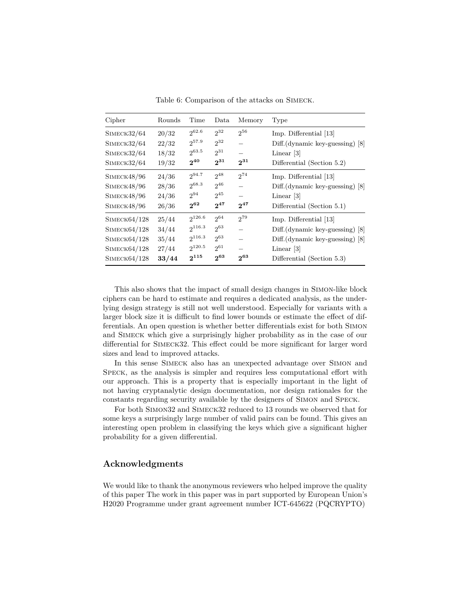| Cipher       | Rounds | Time        | Data     | Memory   | Type                               |
|--------------|--------|-------------|----------|----------|------------------------------------|
| SIMECK32/64  | 20/32  | 262.6       | $2^{32}$ | $2^{56}$ | Imp. Differential [13]             |
| SIMECK32/64  | 22/32  | $2^{57.9}$  | $2^{32}$ |          | $Diff.$ (dynamic key-guessing) [8] |
| SIMECK32/64  | 18/32  | $2^{63.5}$  | $2^{31}$ |          | Linear [3]                         |
| SIMECK32/64  | 19/32  | $2^{40}$    | $2^{31}$ | $2^{31}$ | Differential (Section 5.2)         |
| SIMECK48/96  | 24/36  | $2^{94.7}$  | $2^{48}$ | $2^{74}$ | Imp. Differential [13]             |
| SIMECK48/96  | 28/36  | $2^{68.3}$  | $2^{46}$ |          | $Diff.$ (dynamic key-guessing) [8] |
| SIMECK48/96  | 24/36  | $2^{94}$    | $2^{45}$ |          | Linear [3]                         |
| SIMECK48/96  | 26/36  | $2^{62}$    | $2^{47}$ | $2^{47}$ | Differential (Section 5.1)         |
| SIMECK64/128 | 25/44  | $2^{126.6}$ | $2^{64}$ | 279      | Imp. Differential [13]             |
| SIMECK64/128 | 34/44  | $2^{116.3}$ | $2^{63}$ |          | $Diff.$ (dynamic key-guessing) [8] |
| SIMECK64/128 | 35/44  | $2^{116.3}$ | $2^{63}$ |          | $Diff.(dynamic key-guessing) [8]$  |
| SIMECK64/128 | 27/44  | $2^{120.5}$ | $2^{61}$ |          | Linear $ 3 $                       |
| SIMECK64/128 | 33/44  | $2^{115}$   | $2^{63}$ | $2^{63}$ | Differential (Section 5.3)         |

Table 6: Comparison of the attacks on Simeck.

This also shows that the impact of small design changes in Simon-like block ciphers can be hard to estimate and requires a dedicated analysis, as the underlying design strategy is still not well understood. Especially for variants with a larger block size it is difficult to find lower bounds or estimate the effect of differentials. An open question is whether better differentials exist for both Simon and Simeck which give a surprisingly higher probability as in the case of our differential for Simeck32. This effect could be more significant for larger word sizes and lead to improved attacks.

In this sense Simeck also has an unexpected advantage over Simon and Speck, as the analysis is simpler and requires less computational effort with our approach. This is a property that is especially important in the light of not having cryptanalytic design documentation, nor design rationales for the constants regarding security available by the designers of Simon and Speck.

For both Simon32 and Simeck32 reduced to 13 rounds we observed that for some keys a surprisingly large number of valid pairs can be found. This gives an interesting open problem in classifying the keys which give a significant higher probability for a given differential.

# **Acknowledgments**

We would like to thank the anonymous reviewers who helped improve the quality of this paper The work in this paper was in part supported by European Union's H2020 Programme under grant agreement number ICT-645622 (PQCRYPTO)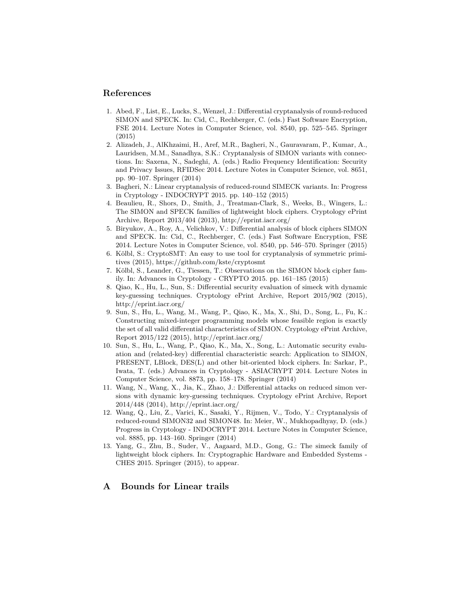### **References**

- 1. Abed, F., List, E., Lucks, S., Wenzel, J.: Differential cryptanalysis of round-reduced SIMON and SPECK. In: Cid, C., Rechberger, C. (eds.) Fast Software Encryption, FSE 2014. Lecture Notes in Computer Science, vol. 8540, pp. 525–545. Springer (2015)
- 2. Alizadeh, J., AlKhzaimi, H., Aref, M.R., Bagheri, N., Gauravaram, P., Kumar, A., Lauridsen, M.M., Sanadhya, S.K.: Cryptanalysis of SIMON variants with connections. In: Saxena, N., Sadeghi, A. (eds.) Radio Frequency Identification: Security and Privacy Issues, RFIDSec 2014. Lecture Notes in Computer Science, vol. 8651, pp. 90–107. Springer (2014)
- 3. Bagheri, N.: Linear cryptanalysis of reduced-round SIMECK variants. In: Progress in Cryptology - INDOCRYPT 2015. pp. 140–152 (2015)
- 4. Beaulieu, R., Shors, D., Smith, J., Treatman-Clark, S., Weeks, B., Wingers, L.: The SIMON and SPECK families of lightweight block ciphers. Cryptology ePrint Archive, Report 2013/404 (2013), http://eprint.iacr.org/
- 5. Biryukov, A., Roy, A., Velichkov, V.: Differential analysis of block ciphers SIMON and SPECK. In: Cid, C., Rechberger, C. (eds.) Fast Software Encryption, FSE 2014. Lecture Notes in Computer Science, vol. 8540, pp. 546–570. Springer (2015)
- 6. Kölbl, S.: CryptoSMT: An easy to use tool for cryptanalysis of symmetric primitives (2015), https://github.com/kste/cryptosmt
- 7. Kölbl, S., Leander, G., Tiessen, T.: Observations on the SIMON block cipher family. In: Advances in Cryptology - CRYPTO 2015. pp. 161–185 (2015)
- 8. Qiao, K., Hu, L., Sun, S.: Differential security evaluation of simeck with dynamic key-guessing techniques. Cryptology ePrint Archive, Report 2015/902 (2015), http://eprint.iacr.org/
- 9. Sun, S., Hu, L., Wang, M., Wang, P., Qiao, K., Ma, X., Shi, D., Song, L., Fu, K.: Constructing mixed-integer programming models whose feasible region is exactly the set of all valid differential characteristics of SIMON. Cryptology ePrint Archive, Report 2015/122 (2015), http://eprint.iacr.org/
- 10. Sun, S., Hu, L., Wang, P., Qiao, K., Ma, X., Song, L.: Automatic security evaluation and (related-key) differential characteristic search: Application to SIMON, PRESENT, LBlock, DES(L) and other bit-oriented block ciphers. In: Sarkar, P., Iwata, T. (eds.) Advances in Cryptology - ASIACRYPT 2014. Lecture Notes in Computer Science, vol. 8873, pp. 158–178. Springer (2014)
- 11. Wang, N., Wang, X., Jia, K., Zhao, J.: Differential attacks on reduced simon versions with dynamic key-guessing techniques. Cryptology ePrint Archive, Report 2014/448 (2014), http://eprint.iacr.org/
- 12. Wang, Q., Liu, Z., Varici, K., Sasaki, Y., Rijmen, V., Todo, Y.: Cryptanalysis of reduced-round SIMON32 and SIMON48. In: Meier, W., Mukhopadhyay, D. (eds.) Progress in Cryptology - INDOCRYPT 2014. Lecture Notes in Computer Science, vol. 8885, pp. 143–160. Springer (2014)
- 13. Yang, G., Zhu, B., Suder, V., Aagaard, M.D., Gong, G.: The simeck family of lightweight block ciphers. In: Cryptographic Hardware and Embedded Systems - CHES 2015. Springer (2015), to appear.

## **A Bounds for Linear trails**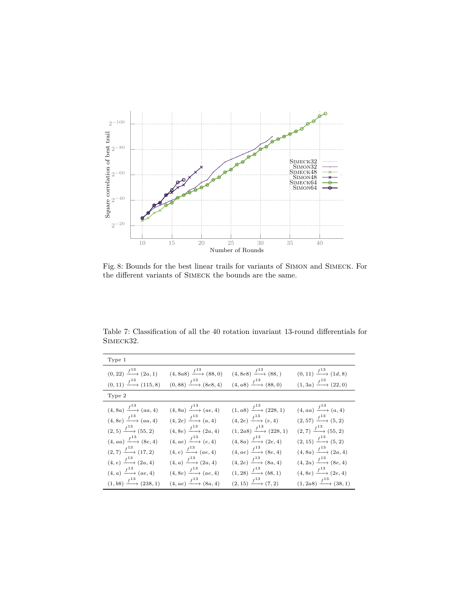

Fig. 8: Bounds for the best linear trails for variants of Simon and Simeck. For the different variants of Simeck the bounds are the same.

Table 7: Classification of all the 40 rotation invariant 13-round differentials for SIMECK32.

| Type 1                                  |                                         |                                          |                                         |
|-----------------------------------------|-----------------------------------------|------------------------------------------|-----------------------------------------|
| $(0, 22) \xrightarrow{f^{13}} (2a, 1)$  | $(4, 8a8) \xrightarrow{f^{13}} (88, 0)$ | $(4, 8e8) \xrightarrow{f^{13}} (88, )$   | $(0,11) \xrightarrow{f^{13}} (1d,8)$    |
| $(0, 11) \xrightarrow{f^{13}} (115, 8)$ | $(0,88) \xrightarrow{f^{13}} (8e8,4)$   | $(4, a8) \xrightarrow{f^{13}} (88, 0)$   | $(1,3a) \xrightarrow{f^{13}} (22,0)$    |
| Type 2                                  |                                         |                                          |                                         |
| $(4, 8a) \xrightarrow{f^{13}} (aa, 4)$  | $(4, 8a) \xrightarrow{f^{13}} (ae, 4)$  | $(1, a8) \xrightarrow{f^{13}} (228, 1)$  | $(4, aa) \xrightarrow{f^{13}} (a, 4)$   |
| $(4, 8e) \xrightarrow{f^{13}} (aa, 4)$  | $(4, 2e) \xrightarrow{f^{13}} (a, 4)$   | $(4, 2e) \xrightarrow{f^{13}} (e, 4)$    | $(2,57) \xrightarrow{f^{13}} (5,2)$     |
| $(2,5) \xrightarrow{f^{13}} (55,2)$     | $(4, 8e) \xrightarrow{f^{13}} (2a, 4)$  | $(1, 2a8) \xrightarrow{f^{13}} (228, 1)$ | $(2,7) \xrightarrow{f^{13}} (55,2)$     |
| $(4, aa) \xrightarrow{f^{13}} (8e, 4)$  | $(4,ae) \xrightarrow{f^{13}} (e,4)$     | $(4, 8a) \xrightarrow{f^{13}} (2e, 4)$   | $(2,15) \xrightarrow{f^{13}} (5,2)$     |
| $(2,7) \xrightarrow{f^{13}} (17,2)$     | $(4,e) \xrightarrow{f^{13}} (ae,4)$     | $(4,ae) \xrightarrow{f^{13}} (8e,4)$     | $(4, 8a) \xrightarrow{f^{13}} (2a, 4)$  |
| $(4, e) \xrightarrow{f^{13}} (2a, 4)$   | $(4,a) \xrightarrow{f^{13}} (2a,4)$     | $(4, 2e) \xrightarrow{f^{13}} (8a, 4)$   | $(4,2a) \xrightarrow{f^{13}} (8e,4)$    |
| $(4, a) \xrightarrow{f^{13}} (ae, 4)$   | $(4,8e) \xrightarrow{f^{13}} (ae,4)$    | $(1,28) \xrightarrow{f^{13}} (b8,1)$     | $(4, 8e) \xrightarrow{f^{13}} (2e, 4)$  |
| $(1, b8) \xrightarrow{f^{13}} (238, 1)$ | $(4, ae) \xrightarrow{f^{13}} (8a, 4)$  | $(2, 15) \xrightarrow{f^{13}} (7, 2)$    | $(1, 2a8) \xrightarrow{f^{13}} (38, 1)$ |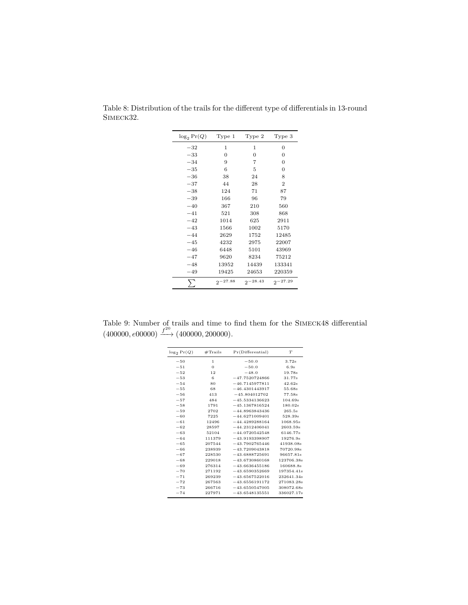| $\log_2 \Pr(Q)$ | Type 1       | Type 2       | Type 3         |
|-----------------|--------------|--------------|----------------|
| $-32$           | 1            | 1            | $\Omega$       |
| $-33$           | $\Omega$     | $\Omega$     | $\Omega$       |
| $-34$           | 9            | 7            | $\Omega$       |
| $-35$           | 6            | 5            | $\overline{0}$ |
| $-36$           | 38           | 24           | 8              |
| $-37$           | 44           | 28           | $\overline{2}$ |
| $-38$           | 124          | 71           | 87             |
| $-39$           | 166          | 96           | 79             |
| $-40$           | 367          | 210          | 560            |
| $-41$           | 521          | 308          | 868            |
| $-42$           | 1014         | 625          | 2911           |
| $-43$           | 1566         | 1002         | 5170           |
| $-44$           | 2629         | 1752         | 12485          |
| $-45$           | 4232         | 2975         | 22007          |
| $-46$           | 6448         | 5101         | 43969          |
| $-47$           | 9620         | 8234         | 75212          |
| $-48$           | 13952        | 14439        | 133341         |
| $-49$           | 19425        | 24653        | 220359         |
|                 | $2^{-27.88}$ | $2^{-28.43}$ | $2^{-27.29}$   |

Table 8: Distribution of the trails for the different type of differentials in 13-round SIMECK32.

Table 9: Number of trails and time to find them for the Simeck48 differential  $(400000, e00000) \xrightarrow{f^{20}} (400000, 200000).$ 

| $\log_2 \Pr(Q)$ | $#$ Trails     | Pr(Differential) | T          |
|-----------------|----------------|------------------|------------|
| $-50$           | $\mathbf{1}$   | $-50.0$          | 3.72s      |
| $-51$           | $\overline{0}$ | $-50.0$          | 6.9s       |
| $-52$           | 12             | $-48.0$          | 19.78s     |
| $-53$           | 6              | $-47.7520724866$ | 31.77s     |
| $-54$           | 80             | $-46.7145977811$ | 42.62s     |
| $-55$           | 68             | $-46.4301443917$ | 55.68s     |
| $-56$           | 413            | $-45.804012702$  | 77.58s     |
| $-57$           | 484            | $-45.5334136623$ | 104.69s    |
| $-58$           | 1791           | $-45.1367816524$ | 180.02s    |
| $-59$           | 2702           | $-44.8963843436$ | 265.5s     |
| $-60$           | 7225           | $-44.6271009401$ | 528.39s    |
| $-61$           | 12496          | $-44.4289288164$ | 1068.95s   |
| $-62$           | 28597          | $-44.2312406041$ | 2603.59s   |
| $-63$           | 52104          | $-44.0720542548$ | 6146.77s   |
| $-64$           | 111379         | $-43.9193398907$ | 19276.9s   |
| $-65$           | 207544         | $-43.7902765446$ | 41938.08s  |
| $-66$           | 238939         | $-43.7209043818$ | 70720.98s  |
| $-67$           | 228530         | $-43.6888725691$ | 96657.81s  |
| $-68$           | 229018         | $-43.6730860168$ | 123706.38s |
| $-69$           | 276314         | $-43.6636455186$ | 160688.8s  |
| $-70$           | 271192         | $-43.6590352669$ | 197354.41s |
| $-71$           | 269239         | $-43.6567522016$ | 232641.34s |
| $-72$           | 267563         | $-43.6556191172$ | 271083.28s |
| $-73$           | 266716         | $-43.6550547005$ | 308072.68s |
| $-74$           | 227971         | $-43.6548135551$ | 336027.17s |
|                 |                |                  |            |